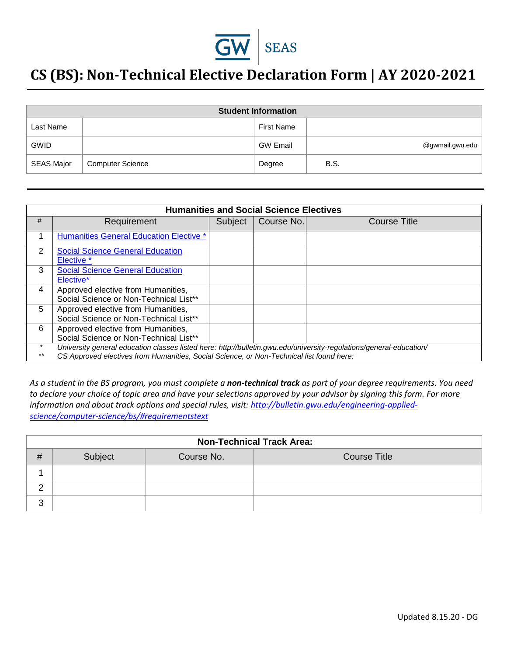

## **CS (BS): Non-Technical Elective Declaration Form | AY 2020-2021**

| <b>Student Information</b> |                         |                   |                 |  |
|----------------------------|-------------------------|-------------------|-----------------|--|
| Last Name                  |                         | <b>First Name</b> |                 |  |
| <b>GWID</b>                |                         | <b>GW Email</b>   | @gwmail.gwu.edu |  |
| <b>SEAS Major</b>          | <b>Computer Science</b> | Degree            | B.S.            |  |

| <b>Humanities and Social Science Electives</b> |                                                                                                                                                                                                                 |         |            |              |
|------------------------------------------------|-----------------------------------------------------------------------------------------------------------------------------------------------------------------------------------------------------------------|---------|------------|--------------|
| #                                              | Requirement                                                                                                                                                                                                     | Subject | Course No. | Course Title |
|                                                | <b>Humanities General Education Elective *</b>                                                                                                                                                                  |         |            |              |
| 2                                              | <b>Social Science General Education</b><br>Elective *                                                                                                                                                           |         |            |              |
| 3                                              | <b>Social Science General Education</b><br>Elective <sup>*</sup>                                                                                                                                                |         |            |              |
| 4                                              | Approved elective from Humanities,<br>Social Science or Non-Technical List**                                                                                                                                    |         |            |              |
| 5                                              | Approved elective from Humanities,<br>Social Science or Non-Technical List**                                                                                                                                    |         |            |              |
| 6                                              | Approved elective from Humanities,<br>Social Science or Non-Technical List**                                                                                                                                    |         |            |              |
| $***$                                          | University general education classes listed here: http://bulletin.gwu.edu/university-regulations/general-education/<br>CS Approved electives from Humanities, Social Science, or Non-Technical list found here: |         |            |              |

*As a student in the BS program, you must complete a non-technical track as part of your degree requirements. You need to declare your choice of topic area and have your selections approved by your advisor by signing this form. For more information and about track options and special rules, visit: [http://bulletin.gwu.edu/engineering-applied](http://bulletin.gwu.edu/engineering-applied-science/computer-science/bs/#requirementstext)[science/computer-science/bs/#requirementstext](http://bulletin.gwu.edu/engineering-applied-science/computer-science/bs/#requirementstext)*

| <b>Non-Technical Track Area:</b> |         |            |                     |
|----------------------------------|---------|------------|---------------------|
| #                                | Subject | Course No. | <b>Course Title</b> |
|                                  |         |            |                     |
|                                  |         |            |                     |
| 3                                |         |            |                     |